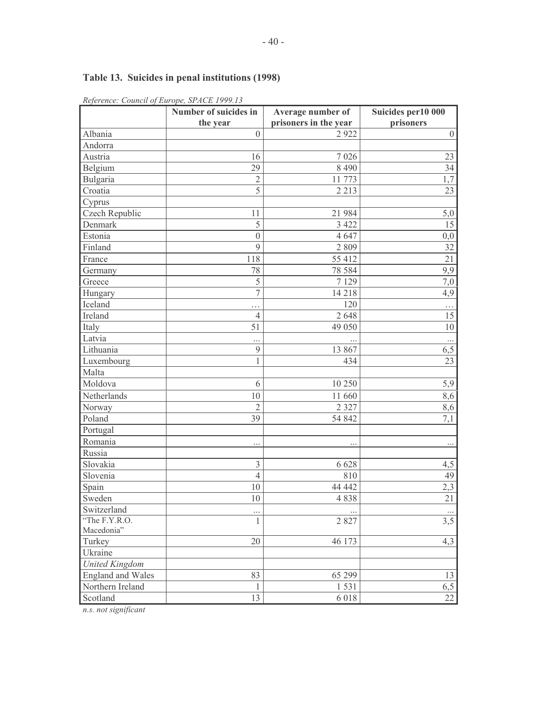# Table 13. Suicides in penal institutions (1998)

| ntejerentet, commen ej   | $=$ $\frac{1}{2}$ $\frac{1}{2}$ $\frac{1}{2}$ $\frac{1}{2}$ $\frac{1}{2}$ $\frac{1}{2}$ $\frac{1}{2}$ $\frac{1}{2}$ $\frac{1}{2}$ $\frac{1}{2}$ $\frac{1}{2}$ $\frac{1}{2}$ $\frac{1}{2}$ $\frac{1}{2}$ $\frac{1}{2}$ $\frac{1}{2}$ $\frac{1}{2}$ $\frac{1}{2}$ $\frac{1}{2}$ $\frac{1}{2}$ $\frac{1}{2}$ $\frac{1}{2$<br>Number of suicides in | Average number of     | Suicides per 10 000 |
|--------------------------|-------------------------------------------------------------------------------------------------------------------------------------------------------------------------------------------------------------------------------------------------------------------------------------------------------------------------------------------------|-----------------------|---------------------|
|                          | the year                                                                                                                                                                                                                                                                                                                                        | prisoners in the year | prisoners           |
| Albania                  | $\mathbf{0}$                                                                                                                                                                                                                                                                                                                                    | 2922                  | $\boldsymbol{0}$    |
| Andorra                  |                                                                                                                                                                                                                                                                                                                                                 |                       |                     |
| Austria                  | 16                                                                                                                                                                                                                                                                                                                                              | 7026                  | 23                  |
| Belgium                  | 29                                                                                                                                                                                                                                                                                                                                              | 8490                  | $\overline{34}$     |
| Bulgaria                 | $\overline{2}$                                                                                                                                                                                                                                                                                                                                  | 11 773                | $\overline{1,7}$    |
| Croatia                  | $\overline{5}$                                                                                                                                                                                                                                                                                                                                  | 2 2 1 3               | 23                  |
| Cyprus                   |                                                                                                                                                                                                                                                                                                                                                 |                       |                     |
| Czech Republic           | 11                                                                                                                                                                                                                                                                                                                                              | 21 984                | 5,0                 |
| Denmark                  | 5                                                                                                                                                                                                                                                                                                                                               | 3 4 2 2               | 15                  |
| Estonia                  | $\overline{0}$                                                                                                                                                                                                                                                                                                                                  | 4 6 4 7               | 0,0                 |
| Finland                  | 9                                                                                                                                                                                                                                                                                                                                               | 2 8 0 9               | 32                  |
| France                   | 118                                                                                                                                                                                                                                                                                                                                             | 55 412                | $\overline{21}$     |
| Germany                  | 78                                                                                                                                                                                                                                                                                                                                              | 78 5 8 4              | 9,9                 |
| Greece                   | $\overline{5}$                                                                                                                                                                                                                                                                                                                                  | 7 1 2 9               | 7,0                 |
| Hungary                  | $\overline{7}$                                                                                                                                                                                                                                                                                                                                  | 14 218                | 4,9                 |
| Iceland                  | $\cdots$                                                                                                                                                                                                                                                                                                                                        | 120                   | $\cdots$            |
| Ireland                  | $\overline{4}$                                                                                                                                                                                                                                                                                                                                  | 2 6 4 8               | 15                  |
| Italy                    | 51                                                                                                                                                                                                                                                                                                                                              | 49 050                | $10\,$              |
| Latvia                   |                                                                                                                                                                                                                                                                                                                                                 |                       |                     |
| Lithuania                | $\mathfrak{g}$                                                                                                                                                                                                                                                                                                                                  | 13 867                | 6,5                 |
| Luxembourg               | 1                                                                                                                                                                                                                                                                                                                                               | 434                   | 23                  |
| Malta                    |                                                                                                                                                                                                                                                                                                                                                 |                       |                     |
| Moldova                  | 6                                                                                                                                                                                                                                                                                                                                               | 10 250                | 5,9                 |
| Netherlands              | 10                                                                                                                                                                                                                                                                                                                                              | 11 660                | 8,6                 |
| Norway                   | $\overline{2}$                                                                                                                                                                                                                                                                                                                                  | 2 3 2 7               | 8,6                 |
| Poland                   | 39                                                                                                                                                                                                                                                                                                                                              | 54 842                | 7,1                 |
| Portugal                 |                                                                                                                                                                                                                                                                                                                                                 |                       |                     |
| Romania                  | $\cdots$                                                                                                                                                                                                                                                                                                                                        |                       | $\cdots$            |
| Russia                   |                                                                                                                                                                                                                                                                                                                                                 |                       |                     |
| Slovakia                 | $\overline{3}$                                                                                                                                                                                                                                                                                                                                  | 6 6 2 8               | 4,5                 |
| Slovenia                 | $\overline{4}$                                                                                                                                                                                                                                                                                                                                  | 810                   | 49                  |
| Spain                    | 10                                                                                                                                                                                                                                                                                                                                              | 44 442                | 2,3                 |
| Sweden                   | 10                                                                                                                                                                                                                                                                                                                                              | 4838                  | $\overline{21}$     |
| Switzerland              |                                                                                                                                                                                                                                                                                                                                                 |                       |                     |
| "The F.Y.R.O.            | $\mathbf{1}$                                                                                                                                                                                                                                                                                                                                    | 2827                  | 3,5                 |
| Macedonia"               |                                                                                                                                                                                                                                                                                                                                                 |                       |                     |
| Turkey                   | 20                                                                                                                                                                                                                                                                                                                                              | 46 173                | 4,3                 |
| Ukraine                  |                                                                                                                                                                                                                                                                                                                                                 |                       |                     |
| <b>United Kingdom</b>    |                                                                                                                                                                                                                                                                                                                                                 |                       |                     |
| <b>England and Wales</b> | 83                                                                                                                                                                                                                                                                                                                                              | 65 299                | 13                  |
| Northern Ireland         | $\,1$                                                                                                                                                                                                                                                                                                                                           | 1531                  | 6,5                 |
| Scotland                 | 13                                                                                                                                                                                                                                                                                                                                              | 6 0 1 8               | $\overline{22}$     |

Reference: Council of Europe, SPACE 1999.13

n.s. not significant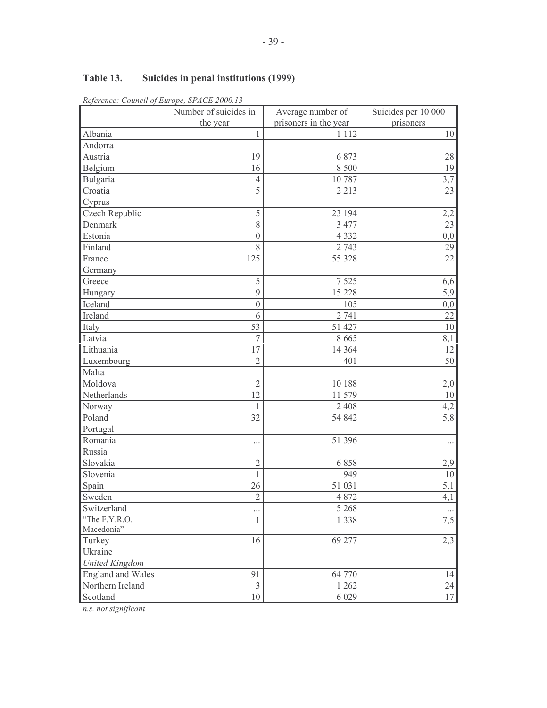### Table 13. Suicides in penal institutions (1999)

| $m$ and $m$ and $m$ and $m$ and $m$ and $m$ and $m$ and $m$ and $m$ and $m$ and $m$ and $m$ and $m$ and $m$ and $m$ and $m$ and $m$ and $m$ and $m$ and $m$ and $m$ and $m$ and $m$ and $m$ and $m$ and $m$ and $m$ and $m$ a | Number of suicides in   | Average number of     | Suicides per 10 000 |
|-------------------------------------------------------------------------------------------------------------------------------------------------------------------------------------------------------------------------------|-------------------------|-----------------------|---------------------|
|                                                                                                                                                                                                                               | the year                | prisoners in the year | prisoners           |
| Albania                                                                                                                                                                                                                       | 1                       | 1 1 1 2               | 10                  |
| Andorra                                                                                                                                                                                                                       |                         |                       |                     |
| Austria                                                                                                                                                                                                                       | 19                      | 6 8 7 3               | 28                  |
| Belgium                                                                                                                                                                                                                       | 16                      | 8 500                 | 19                  |
| Bulgaria                                                                                                                                                                                                                      | 4                       | 10787                 | 3,7                 |
| Croatia                                                                                                                                                                                                                       | $\overline{5}$          | 2 2 1 3               | 23                  |
| Cyprus                                                                                                                                                                                                                        |                         |                       |                     |
| Czech Republic                                                                                                                                                                                                                | 5                       | 23 194                | 2,2                 |
| Denmark                                                                                                                                                                                                                       | 8                       | 3 477                 | 23                  |
| Estonia                                                                                                                                                                                                                       | $\boldsymbol{0}$        | 4 3 3 2               | 0,0                 |
| Finland                                                                                                                                                                                                                       | 8                       | 2 7 4 3               | 29                  |
| France                                                                                                                                                                                                                        | 125                     | 55 328                | $\overline{22}$     |
| Germany                                                                                                                                                                                                                       |                         |                       |                     |
| Greece                                                                                                                                                                                                                        | 5                       | 7 5 2 5               | 6,6                 |
| Hungary                                                                                                                                                                                                                       | 9                       | 15 228                | 5,9                 |
| Iceland                                                                                                                                                                                                                       | $\boldsymbol{0}$        | 105                   | 0,0                 |
| Ireland                                                                                                                                                                                                                       | 6                       | $\frac{1}{2}$ 741     | 22                  |
| Italy                                                                                                                                                                                                                         | 53                      | 51 427                | $10\,$              |
| Latvia                                                                                                                                                                                                                        | $\overline{7}$          | 8 6 6 5               | 8,1                 |
| Lithuania                                                                                                                                                                                                                     | 17                      | 14 3 64               | 12                  |
| Luxembourg                                                                                                                                                                                                                    | $\overline{2}$          | 401                   | 50                  |
| Malta                                                                                                                                                                                                                         |                         |                       |                     |
| Moldova                                                                                                                                                                                                                       | $\overline{2}$          | 10 188                | 2,0                 |
| Netherlands                                                                                                                                                                                                                   | 12                      | 11 579                | 10                  |
| Norway                                                                                                                                                                                                                        | 1                       | 2 4 0 8               | 4,2                 |
| Poland                                                                                                                                                                                                                        | 32                      | 54 842                | 5,8                 |
| Portugal                                                                                                                                                                                                                      |                         |                       |                     |
| Romania                                                                                                                                                                                                                       |                         | 51 396                | $\cdots$            |
| Russia                                                                                                                                                                                                                        |                         |                       |                     |
| Slovakia                                                                                                                                                                                                                      | $\overline{2}$          | 6858                  | 2,9                 |
| Slovenia                                                                                                                                                                                                                      | $\mathbf{1}$            | 949                   | $10\,$              |
| Spain                                                                                                                                                                                                                         | 26                      | 51 031                | $\frac{5,1}{4,1}$   |
| Sweden                                                                                                                                                                                                                        | $\overline{2}$          | 4 8 7 2               |                     |
| Switzerland                                                                                                                                                                                                                   |                         | 5 2 6 8               |                     |
| "The F.Y.R.O.                                                                                                                                                                                                                 | $\mathbf{1}$            | 1 3 3 8               | 7,5                 |
| Macedonia"                                                                                                                                                                                                                    |                         |                       |                     |
| Turkey                                                                                                                                                                                                                        | 16                      | 69 277                | 2,3                 |
| Ukraine                                                                                                                                                                                                                       |                         |                       |                     |
| <b>United Kingdom</b>                                                                                                                                                                                                         |                         |                       |                     |
| <b>England and Wales</b>                                                                                                                                                                                                      | 91                      | 64 770                | 14                  |
| Northern Ireland                                                                                                                                                                                                              | $\overline{\mathbf{3}}$ | 1 2 6 2               | 24                  |
| Scotland                                                                                                                                                                                                                      | $10\,$                  | 6 0 29                | 17                  |

Reference: Council of Europe, SPACE 2000.13

n.s. not significant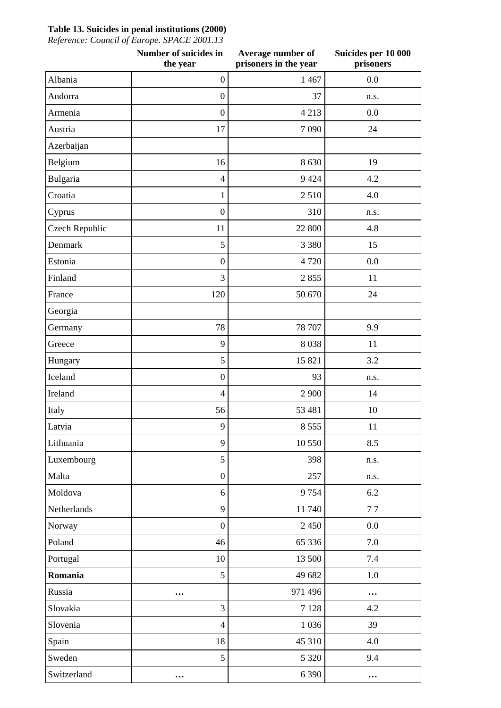## **Table 13. Suicides in penal institutions (2000)**

*Reference: Council of Europe. SPACE 2001.13*

|                | Number of suicides in<br>the year | Average number of<br>prisoners in the year | Suicides per 10 000<br>prisoners |
|----------------|-----------------------------------|--------------------------------------------|----------------------------------|
| Albania        | $\boldsymbol{0}$                  | 1 4 6 7                                    | 0.0                              |
| Andorra        | $\boldsymbol{0}$                  | 37                                         | n.s.                             |
| Armenia        | $\boldsymbol{0}$                  | 4 2 1 3                                    | 0.0                              |
| Austria        | 17                                | 7090                                       | 24                               |
| Azerbaijan     |                                   |                                            |                                  |
| Belgium        | 16                                | 8 6 3 0                                    | 19                               |
| Bulgaria       | $\overline{4}$                    | 9 4 2 4                                    | 4.2                              |
| Croatia        | $\mathbf{1}$                      | 2510                                       | 4.0                              |
| Cyprus         | $\boldsymbol{0}$                  | 310                                        | n.s.                             |
| Czech Republic | 11                                | 22 800                                     | 4.8                              |
| Denmark        | 5                                 | 3 3 8 0                                    | 15                               |
| Estonia        | $\boldsymbol{0}$                  | 4 7 2 0                                    | 0.0                              |
| Finland        | 3                                 | 2855                                       | 11                               |
| France         | 120                               | 50 670                                     | 24                               |
| Georgia        |                                   |                                            |                                  |
| Germany        | 78                                | 78 707                                     | 9.9                              |
| Greece         | 9                                 | 8038                                       | 11                               |
| Hungary        | 5                                 | 15 821                                     | 3.2                              |
| Iceland        | $\boldsymbol{0}$                  | 93                                         | n.s.                             |
| Ireland        | $\overline{4}$                    | 2 900                                      | 14                               |
| Italy          | 56                                | 53 481                                     | 10                               |
| Latvia         | 9                                 | 8 5 5 5                                    | 11                               |
| Lithuania      | 9                                 | 10 550                                     | 8.5                              |
| Luxembourg     | 5                                 | 398                                        | n.s.                             |
| Malta          | $\boldsymbol{0}$                  | 257                                        | n.s.                             |
| Moldova        | 6                                 | 9754                                       | 6.2                              |
| Netherlands    | 9                                 | 11 740                                     | 77                               |
| Norway         | $\boldsymbol{0}$                  | 2 4 5 0                                    | 0.0                              |
| Poland         | 46                                | 65 336                                     | 7.0                              |
| Portugal       | 10                                | 13 500                                     | 7.4                              |
| Romania        | 5                                 | 49 682                                     | 1.0                              |
| Russia         | $\ddotsc$                         | 971 496                                    | $\cdots$                         |
| Slovakia       | $\overline{3}$                    | 7 1 2 8                                    | 4.2                              |
| Slovenia       | $\overline{4}$                    | 1 0 3 6                                    | 39                               |
| Spain          | 18                                | 45 310                                     | 4.0                              |
| Sweden         | 5                                 | 5 3 2 0                                    | 9.4                              |
| Switzerland    | $\ddotsc$                         | 6 3 9 0                                    | $\cdots$                         |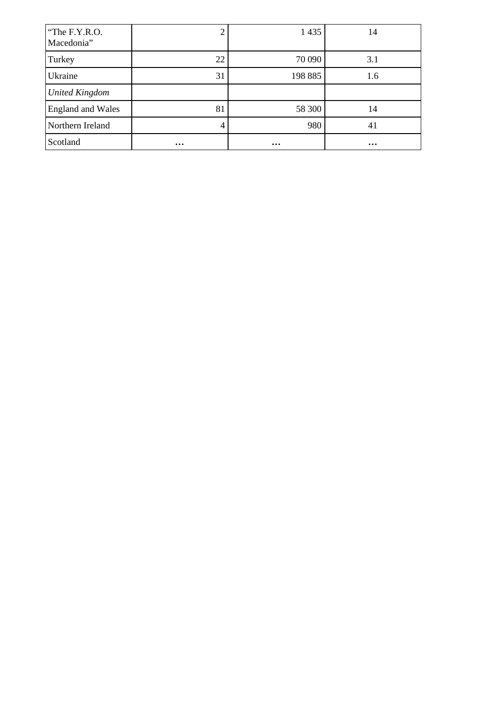| "The F.Y.R.O.<br>Macedonia" | ◠        | 1 4 3 5  | 14       |
|-----------------------------|----------|----------|----------|
| Turkey                      | 22       | 70 090   | 3.1      |
| Ukraine                     | 31       | 198 885  | 1.6      |
| <b>United Kingdom</b>       |          |          |          |
| <b>England and Wales</b>    | 81       | 58 300   | 14       |
| Northern Ireland            | 4        | 980      | 41       |
| Scotland                    | $\cdots$ | $\cdots$ | $\cdots$ |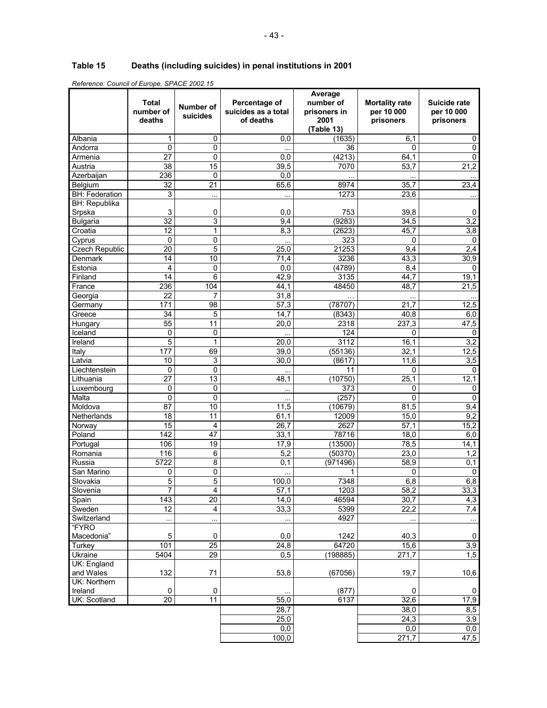# **Table 15 Deaths (including suicides) in penal institutions in 2001**

|                       | Total<br>number of<br>deaths | <b>Number of</b><br>suicides | Percentage of<br>suicides as a total<br>of deaths | Average<br>number of<br>prisoners in<br>2001<br>(Table 13) | <b>Mortality rate</b><br>per 10 000<br>prisoners | Suicide rate<br>per 10 000<br>prisoners |
|-----------------------|------------------------------|------------------------------|---------------------------------------------------|------------------------------------------------------------|--------------------------------------------------|-----------------------------------------|
| Albania               | 1                            | 0                            | 0,0                                               | (1635)                                                     | 6,1                                              | 0                                       |
| Andorra               | 0                            | 0                            |                                                   | 36                                                         | 0                                                | $\mathsf 0$                             |
| Armenia               | 27                           | 0                            | 0,0                                               | (4213)                                                     | 64,1                                             | $\pmb{0}$                               |
| Austria               | 38                           | 15                           | 39,5                                              | 7070                                                       | 53,7                                             | 21,2                                    |
| Azerbaijan            | 236                          | 0                            | 0,0                                               |                                                            |                                                  |                                         |
| Belgium               | $\overline{32}$              | 21                           | 65,6                                              | 8974                                                       | 35,7                                             | 23,4                                    |
| <b>BH: Federation</b> | 3                            |                              | $\ddotsc$                                         | 1273                                                       | 23,6                                             |                                         |
| <b>BH: Republika</b>  |                              |                              |                                                   |                                                            |                                                  |                                         |
| Srpska                | 3                            | 0                            | 0,0                                               | 753                                                        | 39,8                                             | 0                                       |
| <b>Bulgaria</b>       | $\overline{32}$              | 3                            | 9,4                                               | (9283)                                                     | 34,5                                             | 3,2                                     |
| Croatia               | $\overline{12}$              | 1                            | 8,3                                               | (2623)                                                     | 45,7                                             | 3,8                                     |
| Cyprus                | 0                            | 0                            |                                                   | 323                                                        | 0                                                | $\mathbf 0$                             |
| <b>Czech Republic</b> | 20                           | 5                            | 25,0                                              | 21253                                                      | 9,4                                              | $\overline{2,4}$                        |
| Denmark               | $\overline{14}$              | 10                           | 71,4                                              | 3236                                                       | 43,3                                             | 30,9                                    |
| Estonia               | 4                            | 0                            | 0,0                                               | (4789)                                                     | 8,4                                              | 0                                       |
| Finland               | 14                           | 6                            | 42,9                                              | 3135                                                       | 44.7                                             | 19,1                                    |
| France                | 236                          | 104                          | 44,1                                              | 48450                                                      | 48,7                                             | 21,5                                    |
| Georgia               | 22                           | 7                            | 31,8                                              |                                                            |                                                  |                                         |
| Germany               | 171                          | 98                           | 57,3                                              | (78707)                                                    | $\overline{21,7}$                                | 12,5                                    |
| Greece                | 34                           | 5                            | 14,7                                              | (8343)                                                     | 40,8                                             | 6,0                                     |
| Hungary               | 55                           | 11                           | 20,0                                              | 2318                                                       | 237,3                                            | 47,5                                    |
| Iceland               | 0                            | 0                            |                                                   | 124                                                        | 0                                                | 0                                       |
| Ireland               | 5                            | 1                            | 20,0                                              | 3112                                                       | 16.1                                             | 3,2                                     |
| Italy                 | 177                          | 69                           | 39,0                                              | (55136)                                                    | 32,1                                             | 12,5                                    |
| Latvia                | 10                           | 3                            | 30,0                                              | (8617)                                                     | $\overline{1}1,6$                                | $\overline{3,5}$                        |
| Liechtenstein         | 0                            | 0                            |                                                   | 11                                                         | 0                                                | $\Omega$                                |
| Lithuania             | 27                           | 13                           | 48,1                                              | (10750)                                                    | 25,1                                             | 12,1                                    |
| Luxembourg            | 0                            | 0                            | $\ddotsc$                                         | 373                                                        | 0                                                | 0                                       |
| Malta                 | 0                            | 0                            | $\ddotsc$                                         | (257)                                                      | 0                                                | $\mathbf 0$                             |
| Moldova               | 87                           | 10                           | 11,5                                              | (10679)                                                    | 81,5                                             | 9,4                                     |
| Netherlands           | 18<br>15                     | 11<br>4                      | 61,1                                              | 12009<br>2627                                              | 15,0<br>$\overline{57,}1$                        | 9,2<br>15,2                             |
| Norway<br>Poland      | 142                          | 47                           | 26,7<br>33,1                                      | 78716                                                      | 18,0                                             | 6,0                                     |
| Portugal              | 106                          | 19                           | 17,9                                              | (13500)                                                    | 78,5                                             | 14,1                                    |
| Romania               | 116                          | 6                            | 5,2                                               | (50370)                                                    | 23,0                                             | 1,2                                     |
| Russia                | 5722                         | 8                            | 0,1                                               | (971496)                                                   | 58,9                                             | 0,1                                     |
| San Marino            | 0                            | 0                            |                                                   | 1                                                          | 0                                                | $\Omega$                                |
| Slovakia              | 5                            | 5                            | 100,0                                             | 7348                                                       | 6,8                                              | 6,8                                     |
| Slovenia              | 7                            | 4                            | 57,1                                              | 1203                                                       | 58,2                                             | 33,3                                    |
| Spain                 | $\overline{143}$             | $\overline{20}$              | 14,0                                              | 46594                                                      | 30,7                                             | 4,3                                     |
| Sweden                | 12                           | $\overline{\mathbf{4}}$      | 33,3                                              | 5399                                                       | 22,2                                             | 7,4                                     |
| Switzerland           |                              |                              |                                                   | 4927                                                       | $\ddotsc$                                        |                                         |
| "FYRO                 |                              |                              |                                                   |                                                            |                                                  |                                         |
| Macedonia"            | 5                            | 0                            | 0,0                                               | 1242                                                       | 40,3                                             | 0                                       |
| <b>Turkey</b>         | 101                          | 25                           | 24,8                                              | 64720                                                      | 15,6                                             | 3,9                                     |
| Ukraine               | 5404                         | 29                           | 0,5                                               | (198885)                                                   | 271,7                                            | 1,5                                     |
| UK: England           |                              |                              |                                                   |                                                            |                                                  |                                         |
| and Wales             | 132                          | 71                           | 53,8                                              | (67056)                                                    | 19,7                                             | 10,6                                    |
| UK: Northern          |                              |                              |                                                   |                                                            |                                                  |                                         |
| Ireland               | 0                            | 0                            |                                                   | (877)                                                      | 0                                                | 0                                       |
| UK: Scotland          | $\overline{20}$              | $\overline{11}$              | 55,0                                              | 6137                                                       | 32,6                                             | 17,9                                    |
|                       |                              |                              | 28,7                                              |                                                            | 38,0                                             | 8,5                                     |
|                       |                              |                              | 25,0                                              |                                                            | 24,3                                             | 3,9                                     |
|                       |                              |                              | 0,0                                               |                                                            | 0,0                                              | 0,0                                     |
|                       |                              |                              | 100,0                                             |                                                            | 271,7                                            | 47,5                                    |

*Reference: Council of Europe, SPACE 2002.15*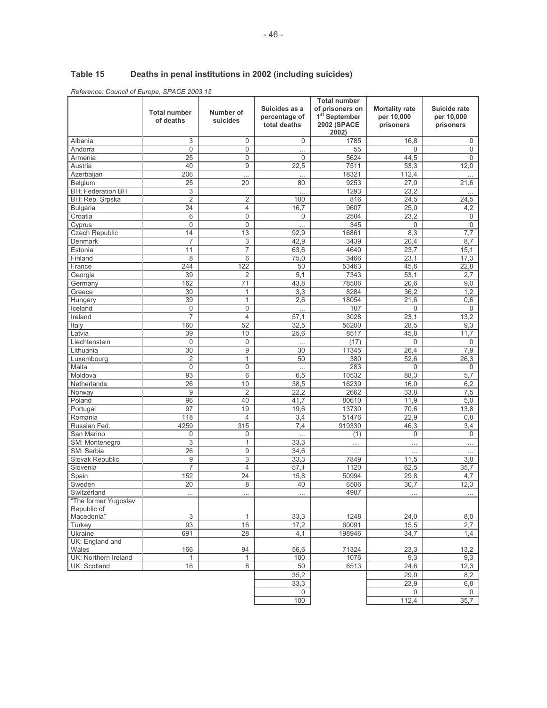#### Table 15 Deaths in penal institutions in 2002 (including suicides)

Reference: Council of Europe, SPACE 2003.15

|                                     | <b>Total number</b><br>of deaths | Number of<br>suicides   | Suicides as a<br>percentage of<br>total deaths | <b>Total number</b><br>of prisoners on<br>1 <sup>st</sup> September<br><b>2002 (SPACE</b><br>2002) | <b>Mortality rate</b><br>per 10,000<br>prisoners | Suicide rate<br>per 10,000<br>prisoners |
|-------------------------------------|----------------------------------|-------------------------|------------------------------------------------|----------------------------------------------------------------------------------------------------|--------------------------------------------------|-----------------------------------------|
| Albania                             | 3                                | 0                       | 0                                              | 1785                                                                                               | 16,8                                             | 0                                       |
| Andorra                             | $\mathbf 0$                      | 0                       |                                                | 55                                                                                                 | $\mathbf 0$                                      | $\mathbf 0$                             |
| Armenia                             | 25                               | $\overline{0}$          | $\Omega$                                       | 5624                                                                                               | 44,5                                             | $\Omega$                                |
| Austria                             | 40                               | 9                       | 22,5                                           | 7511                                                                                               | 53,3                                             | 12,0                                    |
| Azerbaijan                          | 206                              |                         | $\ddotsc$                                      | 18321                                                                                              | 112,4                                            |                                         |
| Belgium                             | 25                               | 20                      | 80                                             | 9253                                                                                               | 27,0                                             | 21,6                                    |
| <b>BH: Federation BH</b>            | 3                                |                         | $\ddotsc$                                      | 1293                                                                                               | 23,2                                             |                                         |
| BH: Rep. Srpska                     | $\overline{2}$                   | 2                       | 100                                            | 816                                                                                                | 24,5                                             | 24,5                                    |
| <b>Bulgaria</b>                     | 24                               | 4                       | 16,7                                           | 9607                                                                                               | 25,0                                             | 4,2                                     |
| Croatia                             | 6                                | $\overline{0}$          | $\Omega$                                       | 2584                                                                                               | 23,2                                             | $\mathbf 0$                             |
| Cyprus                              | $\mathbf 0$                      | 0                       |                                                | 345                                                                                                | 0                                                | $\mathbf 0$                             |
| <b>Czech Republic</b>               | 14                               | 13                      | 92,9                                           | 16861                                                                                              | 8,3                                              | 7,7                                     |
| Denmark                             | $\overline{7}$                   | 3                       | 42,9                                           | 3439                                                                                               | 20,4                                             | 8,7                                     |
| Estonia                             | 11                               | $\overline{7}$          | 63,6                                           | 4640                                                                                               | 23,7                                             | 15,1                                    |
| Finland                             | 8                                | 6                       | 75,0                                           | 3466                                                                                               | 23,1                                             | 17,3                                    |
| France                              | 244                              | 122                     | 50                                             | 53463                                                                                              | 45,6                                             | 22,8                                    |
| Georgia                             | 39                               | 2                       | 5,1                                            | 7343                                                                                               | 53,1                                             | 2,7                                     |
| Germany                             | 162                              | 71                      | 43,8                                           | 78506                                                                                              | 20,6                                             | 9,0                                     |
| Greece                              | 30                               | 1                       | 3,3                                            | 8284                                                                                               | 36,2                                             | 1,2                                     |
| Hungary                             | 39                               | 1                       | 2,6                                            | 18054                                                                                              | 21,6                                             | 0,6                                     |
| Iceland                             | $\mathbf 0$                      | 0                       | $\cdots$                                       | 107                                                                                                | 0                                                | 0                                       |
| Ireland                             | 7                                | $\overline{4}$          | 57,1                                           | 3028                                                                                               | 23.1                                             | 13,2                                    |
| Italy                               | 160                              | 52                      | 32,5                                           | 56200                                                                                              | 28,5                                             | 9,3                                     |
| Latvia                              | 39                               | 10                      | 25,6                                           | 8517                                                                                               | 45,8                                             | 11,7                                    |
| Liechtenstein                       | $\mathbf 0$                      | 0                       | $\cdots$                                       | (17)                                                                                               | 0                                                | 0                                       |
| Lithuania                           | 30                               | 9                       | 30                                             | 11345                                                                                              | 26,4                                             | 7,9                                     |
| Luxembourg                          | $\overline{2}$                   | 1                       | 50                                             | 380                                                                                                | 52,6                                             | 26,3                                    |
| Malta                               | $\mathbf 0$                      | $\mathbf 0$             |                                                | 283                                                                                                | 0                                                | 0                                       |
| Moldova                             | 93                               | 6                       | 6,5                                            | 10532                                                                                              | 88,3                                             | 5,7                                     |
| Netherlands                         | 26                               | 10                      | 38,5                                           | 16239                                                                                              | 16,0                                             | 6,2                                     |
| Norway                              | 9                                | $\overline{2}$          | 22,2                                           | 2662                                                                                               | 33,8                                             | 7,5                                     |
| Poland                              | 96                               | 40                      | 41,7                                           | 80610                                                                                              | 11,9                                             | 5,0                                     |
| Portugal                            | 97                               | 19                      | 19,6                                           | 13730                                                                                              | 70,6                                             | 13,8                                    |
| Romania                             | 118                              | 4                       | 3,4                                            | 51476                                                                                              | 22,9                                             | 0,8                                     |
| Russian Fed.                        | 4259                             | 315                     | 7,4                                            | 919330                                                                                             | 46,3                                             | 3,4                                     |
| San Marino                          | 0                                | 0                       | $\cdots$                                       | (1)                                                                                                | 0                                                | $\overline{0}$                          |
| SM: Montenegro                      | 3                                | 1                       | 33,3                                           | .                                                                                                  | $\cdots$                                         | $\cdots$                                |
| SM: Serbia                          | 26                               | 9                       | 34,6                                           | .                                                                                                  | $\cdots$                                         | $\cdots$                                |
| Slovak Republic                     | 9                                | 3                       | 33,3                                           | 7849                                                                                               | 11,5                                             | 3,8                                     |
| Slovenia                            | $\overline{7}$                   | $\overline{\mathbf{4}}$ | 57,1                                           | 1120                                                                                               | 62,5                                             | 35,7                                    |
| Spain                               | 152                              | 24                      | 15,8                                           | 50994                                                                                              | 29,8                                             | 4,7                                     |
| Sweden                              | 20                               | 8                       | 40                                             | 6506                                                                                               | 30.7                                             | 12,3                                    |
| Switzerland                         |                                  |                         |                                                | 4987                                                                                               |                                                  |                                         |
| "The former Yugoslav<br>Republic of |                                  |                         |                                                |                                                                                                    |                                                  |                                         |
| Macedonia"                          | 3                                | $\mathbf{1}$            | 33,3                                           | 1248                                                                                               | 24,0                                             | 8,0                                     |
| Turkey                              | 93                               | 16                      | 17,2                                           | 60091                                                                                              | 15,5                                             | 2,7                                     |
| Ukraine                             | 691                              | 28                      | 4,1                                            | 198946                                                                                             | 34,7                                             | 1,4                                     |
| UK: England and                     |                                  |                         |                                                |                                                                                                    |                                                  |                                         |
| Wales                               | 166                              | 94                      | 56,6                                           | 71324                                                                                              | 23,3                                             | 13,2                                    |
| UK: Northern Ireland                | 1                                | $\mathbf{1}$            | 100                                            | 1076                                                                                               | 9,3                                              | 9,3                                     |
| UK: Scotland                        | 16                               | 8                       | 50                                             | 6513                                                                                               | 24,6                                             | 12,3                                    |
|                                     |                                  |                         | 35,2                                           |                                                                                                    | 29,0                                             | 8,2                                     |
|                                     |                                  |                         | 33,3                                           |                                                                                                    | 23,9                                             | 6,8                                     |
|                                     |                                  |                         | $\mathbf 0$                                    |                                                                                                    | $\mathbf 0$                                      | $\mathbf 0$                             |
|                                     |                                  |                         | 100                                            |                                                                                                    | 112,4                                            | 35,7                                    |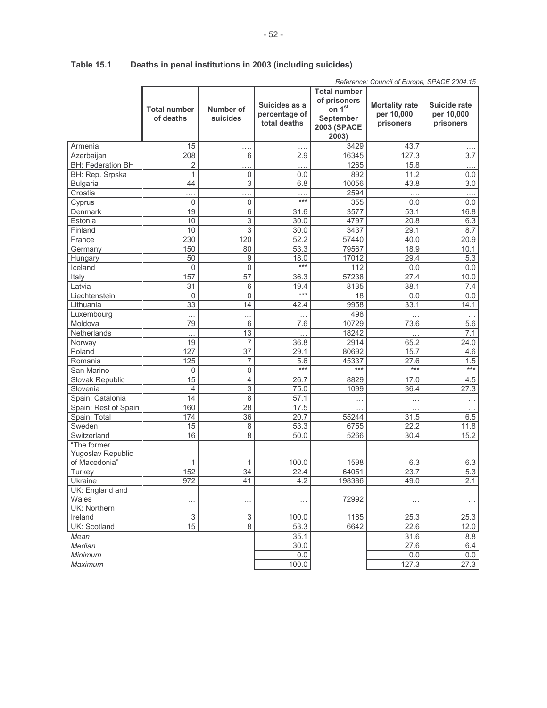|                                    |                                  |                       |                                                |                                                                                  | Reference: Council of Europe, SPACE 2004.15      |                                         |
|------------------------------------|----------------------------------|-----------------------|------------------------------------------------|----------------------------------------------------------------------------------|--------------------------------------------------|-----------------------------------------|
|                                    | <b>Total number</b><br>of deaths | Number of<br>suicides | Suicides as a<br>percentage of<br>total deaths | <b>Total number</b><br>of prisoners<br>on 1st<br>September<br><b>2003 (SPACE</b> | <b>Mortality rate</b><br>per 10,000<br>prisoners | Suicide rate<br>per 10,000<br>prisoners |
|                                    |                                  |                       |                                                | 2003)                                                                            |                                                  |                                         |
| Armenia                            | 15                               | .                     | .                                              | 3429                                                                             | 43.7                                             |                                         |
| Azerbaijan                         | 208                              | 6                     | 2.9                                            | 16345                                                                            | 127.3                                            | 3.7                                     |
| <b>BH: Federation BH</b>           | 2                                | .                     | .                                              | 1265                                                                             | 15.8                                             | .                                       |
| BH: Rep. Srpska                    | 1                                | 0                     | 0.0                                            | 892                                                                              | 11.2                                             | 0.0                                     |
| <b>Bulgaria</b>                    | 44                               | 3                     | 6.8                                            | 10056                                                                            | 43.8                                             | 3.0                                     |
| Croatia                            | .                                | .                     | .<br>***                                       | 2594                                                                             | .                                                | $\cdots$                                |
| Cyprus                             | $\overline{0}$                   | $\mathsf 0$           |                                                | 355                                                                              | 0.0                                              | 0.0                                     |
| Denmark                            | 19                               | 6                     | 31.6                                           | 3577                                                                             | 53.1                                             | 16.8                                    |
| Estonia                            | 10                               | $\overline{3}$        | 30.0                                           | 4797                                                                             | 20.8                                             | 6.3                                     |
| Finland                            | 10                               | 3                     | 30.0                                           | 3437                                                                             | 29.1                                             | 8.7                                     |
| France                             | 230                              | 120                   | 52.2                                           | 57440                                                                            | 40.0                                             | 20.9                                    |
| Germany                            | 150                              | 80                    | 53.3                                           | 79567                                                                            | 18.9                                             | 10.1                                    |
| Hungary                            | 50                               | 9                     | 18.0<br>$***$                                  | 17012                                                                            | 29.4                                             | 5.3                                     |
| Iceland                            | $\overline{0}$                   | 0                     |                                                | 112                                                                              | 0.0                                              | 0.0                                     |
| Italy                              | 157                              | 57                    | 36.3                                           | 57238                                                                            | 27.4                                             | 10.0                                    |
| Latvia                             | 31                               | 6                     | 19.4<br>$***$                                  | 8135                                                                             | 38.1                                             | 7.4                                     |
| Liechtenstein                      | $\mathbf 0$                      | 0                     |                                                | 18                                                                               | 0.0                                              | 0.0                                     |
| Lithuania                          | 33                               | 14                    | 42.4                                           | 9958                                                                             | 33.1                                             | 14.1                                    |
| Luxembourg                         | .                                | .                     |                                                | 498                                                                              |                                                  | $\ldots$                                |
| Moldova                            | 79                               | 6                     | 7.6                                            | 10729                                                                            | 73.6                                             | 5.6                                     |
| Netherlands                        | .                                | $\overline{13}$       | .                                              | 18242                                                                            | $\cdots$                                         | 7.1                                     |
| Norway                             | 19                               | $\overline{7}$        | 36.8                                           | 2914                                                                             | 65.2                                             | 24.0                                    |
| Poland                             | 127                              | 37                    | 29.1                                           | 80692                                                                            | 15.7                                             | 4.6                                     |
| Romania                            | 125                              | 7                     | 5.6<br>$***$                                   | 45337<br>$***$                                                                   | 27.6<br>$\overline{***}$                         | 1.5<br>$***$                            |
| San Marino                         | $\Omega$                         | $\overline{0}$        |                                                |                                                                                  |                                                  |                                         |
| Slovak Republic                    | 15                               | 4                     | 26.7                                           | 8829                                                                             | 17.0                                             | 4.5                                     |
| Slovenia                           | 4                                | 3                     | 75.0                                           | 1099                                                                             | 36.4                                             | 27.3                                    |
| Spain: Catalonia                   | 14                               | 8                     | 57.1                                           | .                                                                                |                                                  | $\cdots$                                |
| Spain: Rest of Spain               | 160                              | 28                    | 17.5                                           | $\ddotsc$                                                                        | .                                                | .                                       |
| Spain: Total                       | 174                              | 36                    | 20.7                                           | 55244                                                                            | 31.5                                             | 6.5                                     |
| Sweden                             | 15                               | 8                     | 53.3                                           | 6755                                                                             | 22.2                                             | 11.8                                    |
| Switzerland                        | 16                               | 8                     | 50.0                                           | 5266                                                                             | 30.4                                             | 15.2                                    |
| "The former                        |                                  |                       |                                                |                                                                                  |                                                  |                                         |
| Yugoslav Republic<br>of Macedonia" |                                  |                       |                                                |                                                                                  |                                                  |                                         |
|                                    | 1<br>152                         | 1                     | 100.0                                          | 1598                                                                             | 6.3                                              | 6.3                                     |
| Turkey                             |                                  | 34                    | 22.4                                           | 64051                                                                            | 23.7                                             | 5.3                                     |
| Ukraine                            | 972                              | 41                    | 4.2                                            | 198386                                                                           | 49.0                                             | 2.1                                     |
| UK: England and<br>Wales           | .                                | .                     | $\ddotsc$                                      | 72992                                                                            |                                                  |                                         |
| UK: Northern                       |                                  |                       |                                                |                                                                                  |                                                  |                                         |
| Ireland                            | 3                                | 3                     | 100.0                                          | 1185                                                                             | 25.3                                             | 25.3                                    |
| UK: Scotland                       | 15                               | $\overline{8}$        | 53.3                                           | 6642                                                                             | 22.6                                             | 12.0                                    |
| Mean                               |                                  |                       | 35.1                                           |                                                                                  | 31.6                                             | 8.8                                     |
| Median                             |                                  |                       | 30.0                                           |                                                                                  | 27.6                                             | 6.4                                     |
| Minimum                            |                                  |                       | 0.0                                            |                                                                                  | 0.0                                              | 0.0                                     |
| Maximum                            |                                  |                       | 100.0                                          |                                                                                  | 127.3                                            | 27.3                                    |

#### **Table 15.1** Deaths in penal institutions in 2003 (including suicides)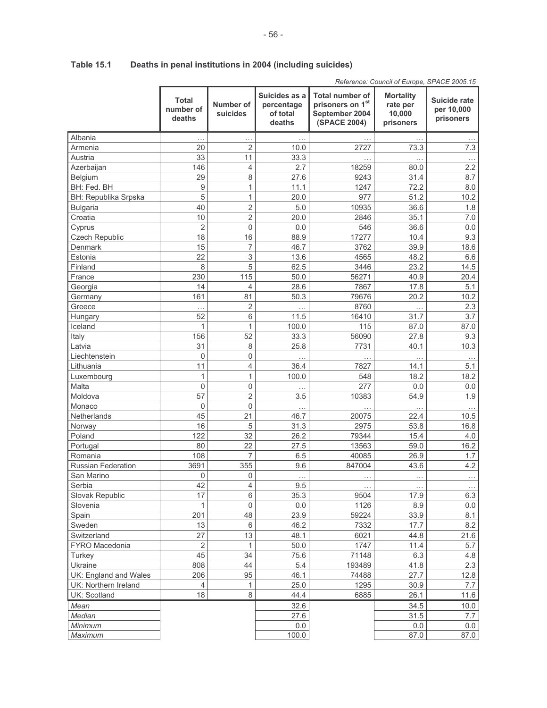|                             |                              |                       |                                                   |                                                                       | Reference: Council of Europe, SPACE 2005.15         |                                                |
|-----------------------------|------------------------------|-----------------------|---------------------------------------------------|-----------------------------------------------------------------------|-----------------------------------------------------|------------------------------------------------|
|                             | Total<br>number of<br>deaths | Number of<br>suicides | Suicides as a<br>percentage<br>of total<br>deaths | Total number of<br>prisoners on 1st<br>September 2004<br>(SPACE 2004) | <b>Mortality</b><br>rate per<br>10,000<br>prisoners | <b>Suicide rate</b><br>per 10,000<br>prisoners |
| Albania                     |                              | $\cdots$              | .                                                 |                                                                       |                                                     |                                                |
| Armenia                     | 20                           | 2                     | 10.0                                              | 2727                                                                  | 73.3                                                | 7.3                                            |
| Austria                     | 33                           | 11                    | 33.3                                              |                                                                       |                                                     |                                                |
| Azerbaijan                  | 146                          | $\overline{4}$        | 2.7                                               | 18259                                                                 | 80.0                                                | 2.2                                            |
| Belgium                     | 29                           | 8                     | 27.6                                              | 9243                                                                  | 31.4                                                | 8.7                                            |
| BH: Fed. BH                 | 9                            | 1                     | 11.1                                              | 1247                                                                  | 72.2                                                | 8.0                                            |
| <b>BH: Republika Srpska</b> | 5                            | $\mathbf{1}$          | 20.0                                              | 977                                                                   | 51.2                                                | 10.2                                           |
| Bulgaria                    | 40                           | $\sqrt{2}$            | 5.0                                               | 10935                                                                 | 36.6                                                | 1.8                                            |
| Croatia                     | 10                           | $\overline{2}$        | 20.0                                              | 2846                                                                  | 35.1                                                | 7.0                                            |
| Cyprus                      | 2                            | $\mathbf 0$           | 0.0                                               | 546                                                                   | 36.6                                                | 0.0                                            |
| Czech Republic              | 18                           | 16                    | 88.9                                              | 17277                                                                 | 10.4                                                | 9.3                                            |
| Denmark                     | 15                           | $\overline{7}$        | 46.7                                              | 3762                                                                  | 39.9                                                | 18.6                                           |
| Estonia                     | 22                           | $\,$ 3 $\,$           | 13.6                                              | 4565                                                                  | 48.2                                                | 6.6                                            |
| Finland                     | 8                            | 5                     | 62.5                                              | 3446                                                                  | 23.2                                                | 14.5                                           |
| France                      | 230                          | 115                   | 50.0                                              | 56271                                                                 | 40.9                                                | 20.4                                           |
| Georgia                     | 14                           | $\overline{4}$        | 28.6                                              | 7867                                                                  | 17.8                                                | 5.1                                            |
| Germany                     | 161                          | 81                    | 50.3                                              | 79676                                                                 | 20.2                                                | 10.2                                           |
| Greece                      |                              | $\overline{2}$        |                                                   | 8760                                                                  |                                                     | 2.3                                            |
| Hungary                     | $\ddotsc$<br>52              | 6                     | $\cdots$<br>11.5                                  | 16410                                                                 | $\cdots$<br>31.7                                    | 3.7                                            |
| Iceland                     | 1                            | 1                     | 100.0                                             | 115                                                                   | 87.0                                                | 87.0                                           |
| Italy                       | 156                          | 52                    | 33.3                                              | 56090                                                                 | 27.8                                                | 9.3                                            |
| Latvia                      | 31                           | 8                     | 25.8                                              | 7731                                                                  | 40.1                                                | 10.3                                           |
| Liechtenstein               | $\mathbf 0$                  | $\mathbf 0$           | $\ddots$                                          |                                                                       |                                                     |                                                |
| Lithuania                   | 11                           | $\overline{4}$        | 36.4                                              | 7827                                                                  | .<br>14.1                                           | 5.1                                            |
| Luxembourg                  | 1                            | $\mathbf{1}$          | 100.0                                             | 548                                                                   | 18.2                                                | 18.2                                           |
| Malta                       | $\mathbf 0$                  | 0                     |                                                   | 277                                                                   | 0.0                                                 | 0.0                                            |
| Moldova                     | 57                           | $\sqrt{2}$            | 3.5                                               | 10383                                                                 | 54.9                                                | 1.9                                            |
| Monaco                      | $\mathbf 0$                  | $\mathbf 0$           |                                                   |                                                                       |                                                     |                                                |
| Netherlands                 | 45                           | 21                    | .<br>46.7                                         | 20075                                                                 | 22.4                                                | $\cdots$<br>10.5                               |
| Norway                      | 16                           | 5                     | 31.3                                              | 2975                                                                  | 53.8                                                | 16.8                                           |
| Poland                      | 122                          | 32                    | 26.2                                              | 79344                                                                 | 15.4                                                | 4.0                                            |
| Portugal                    | 80                           | 22                    | 27.5                                              | 13563                                                                 | 59.0                                                | 16.2                                           |
| Romania                     | 108                          | 7                     | 6.5                                               | 40085                                                                 | 26.9                                                | 1.7                                            |
| Russian Federation          | 3691                         | 355                   | 9.6                                               | 847004                                                                | 43.6                                                | 4.2                                            |
| San Marino                  | $\mathbf 0$                  | $\Omega$              |                                                   |                                                                       |                                                     |                                                |
| Serbia                      | 42                           | $\overline{4}$        | $\cdots$<br>9.5                                   |                                                                       |                                                     |                                                |
| Slovak Republic             | 17                           | 6                     | 35.3                                              | 9504                                                                  | 17.9                                                | $\cdots$<br>6.3                                |
| Slovenia                    | $\mathbf{1}$                 | $\mathbf 0$           | 0.0                                               | 1126                                                                  | 8.9                                                 | 0.0                                            |
| Spain                       | 201                          | 48                    | 23.9                                              | 59224                                                                 | 33.9                                                | 8.1                                            |
| Sweden                      | 13                           | 6                     | 46.2                                              | 7332                                                                  | 17.7                                                | 8.2                                            |
| Switzerland                 | 27                           | 13                    | 48.1                                              | 6021                                                                  | 44.8                                                | 21.6                                           |
| FYRO Macedonia              | $\overline{2}$               | 1                     | 50.0                                              | 1747                                                                  | 11.4                                                | 5.7                                            |
| Turkey                      | 45                           | 34                    | 75.6                                              | 71148                                                                 | 6.3                                                 | 4.8                                            |
| Ukraine                     | 808                          | 44                    | 5.4                                               | 193489                                                                | 41.8                                                | 2.3                                            |
| UK: England and Wales       | 206                          | 95                    | 46.1                                              | 74488                                                                 | 27.7                                                |                                                |
| UK: Northern Ireland        | 4                            | 1                     | 25.0                                              | 1295                                                                  | 30.9                                                | 12.8<br>7.7                                    |
| UK: Scotland                | 18                           | 8                     | 44.4                                              | 6885                                                                  | 26.1                                                | 11.6                                           |
|                             |                              |                       |                                                   |                                                                       |                                                     |                                                |

 $\frac{32.6}{27.6}$ 

 $0.0$ 

 $100.0$ 

Mean

Median

Minimum

Maximum

 $34.5$ 

 $31.5$ 

 $0.0$ 

87.0

 $10.0$ 

 $7.7$ 

 $0.0$ 

87.0

#### **Table 15.1** Deaths in penal institutions in 2004 (including suicides)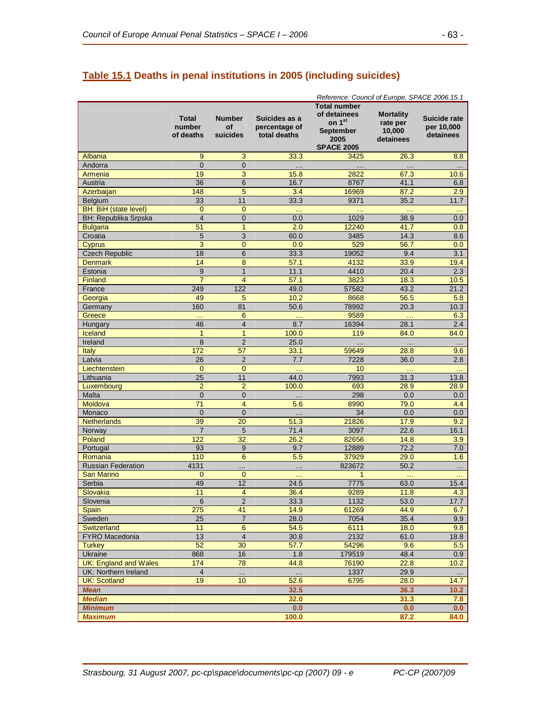# **Table 15.1 Deaths in penal institutions in 2005 (including suicides)**

|                              |                                     |                                 |                                                | Reference: Council of Europe, SPACE 2006.15.1                                                              |                                                     |                                         |
|------------------------------|-------------------------------------|---------------------------------|------------------------------------------------|------------------------------------------------------------------------------------------------------------|-----------------------------------------------------|-----------------------------------------|
|                              | <b>Total</b><br>number<br>of deaths | <b>Number</b><br>Οf<br>suicides | Suicides as a<br>percentage of<br>total deaths | <b>Total number</b><br>of detainees<br>on 1 <sup>st</sup><br><b>September</b><br>2005<br><b>SPACE 2005</b> | <b>Mortality</b><br>rate per<br>10,000<br>detainees | Suicide rate<br>per 10,000<br>detainees |
| Albania                      | 9                                   | 3                               | 33.3                                           | 3425                                                                                                       | 26.3                                                | 8.8                                     |
| Andorra                      | $\Omega$                            | $\overline{0}$                  | $\cdots$                                       |                                                                                                            |                                                     | $\cdots$                                |
| Armenia                      | 19                                  | 3                               | 15.8                                           | 2822                                                                                                       | 67.3                                                | 10.6                                    |
| Austria                      | 36                                  | 6                               | 16.7                                           | 8767                                                                                                       | 41.1                                                | 6.8                                     |
| Azerbaijan                   | 148                                 | 5                               | 3.4                                            | 16969                                                                                                      | 87.2                                                | 2.9                                     |
| Belgium                      | 33                                  | 11                              | 33.3                                           | 9371                                                                                                       | 35.2                                                | 11.7                                    |
| <b>BH: BiH (state level)</b> | $\mathbf{0}$                        | $\overline{0}$                  | $\sim$ $\sim$                                  | $\ddotsc$                                                                                                  | $\sim$ .                                            | $\sim$ $\sim$                           |
| <b>BH: Republika Srpska</b>  | $\overline{4}$                      | 0                               | 0.0                                            | 1029                                                                                                       | 38.9                                                | 0.0                                     |
| <b>Bulgaria</b>              | 51                                  | 1                               | 2.0                                            | 12240                                                                                                      | 41.7                                                | 0.8                                     |
| Croatia                      | 5                                   | 3                               | 60.0                                           | 3485                                                                                                       | 14.3                                                | 8.6                                     |
| <b>Cyprus</b>                | 3                                   | $\overline{0}$                  | 0.0                                            | 529                                                                                                        | 56.7                                                | 0.0                                     |
| <b>Czech Republic</b>        | 18                                  | 6                               | 33.3                                           | 19052                                                                                                      | 9.4                                                 | 3.1                                     |
| <b>Denmark</b>               | 14                                  | 8                               | 57.1                                           | 4132                                                                                                       | 33.9                                                | 19.4                                    |
| Estonia                      | 9                                   | $\overline{1}$                  | 11.1                                           | 4410                                                                                                       | 20.4                                                | 2.3                                     |
| <b>Finland</b>               | $\overline{7}$                      | $\overline{4}$                  | 57.1                                           | 3823                                                                                                       | 18.3                                                | 10.5                                    |
| France                       | 249                                 | 122                             | 49.0                                           | 57582                                                                                                      | 43.2                                                | 21.2                                    |
| Georgia                      | 49                                  | 5                               | 10.2                                           | 8668                                                                                                       | 56.5                                                | 5.8                                     |
| Germany                      | 160                                 | 81                              | 50.6                                           | 78992                                                                                                      | 20.3                                                | 10.3                                    |
| Greece                       |                                     | 6                               |                                                | 9589                                                                                                       |                                                     | 6.3                                     |
| Hungary                      | 46                                  | 4                               | 8.7                                            | 16394                                                                                                      | 28.1                                                | $2.4\phantom{0}$                        |
| Iceland                      | $\overline{1}$                      | 1                               | 100.0                                          | 119                                                                                                        | 84.0                                                | 84.0                                    |
| Ireland                      | 8                                   | $\overline{2}$                  | 25.0                                           | $\ddotsc$                                                                                                  | $\cdots$                                            | $\ldots$                                |
| Italy                        | 172                                 | 57                              | 33.1                                           | 59649                                                                                                      | 28.8                                                | 9.6                                     |
| Latvia                       | 26                                  | $\overline{2}$                  | 7.7                                            | 7228                                                                                                       | 36.0                                                | 2.8                                     |
| Liechtenstein                | $\mathbf{0}$                        | $\overline{0}$                  | $\ddotsc$                                      | 10                                                                                                         |                                                     | $\ddotsc$                               |
| Lithuania                    | $\overline{25}$                     | 11                              | 44.0                                           | 7993                                                                                                       | 31.3                                                | 13.8                                    |
| Luxembourg                   | $\overline{2}$                      | $\overline{2}$                  | 100.0                                          | 693                                                                                                        | 28.9                                                | 28.9                                    |
| Malta                        | $\overline{0}$                      | $\overline{0}$                  | $\ddotsc$                                      | 298                                                                                                        | 0.0                                                 | 0.0                                     |
| Moldova                      | 71                                  | $\overline{4}$                  | 5.6                                            | 8990                                                                                                       | 79.0                                                | 4.4                                     |
| Monaco                       | $\overline{0}$                      | $\overline{0}$                  | $\cdots$                                       | 34                                                                                                         | 0.0                                                 | $0.0\,$                                 |
| <b>Netherlands</b>           | 39                                  | 20                              | 51.3                                           | 21826                                                                                                      | 17.9                                                | 9.2                                     |
| Norway                       | $\overline{7}$                      | 5                               | 71.4                                           | 3097                                                                                                       | 22.6                                                | 16.1                                    |
| Poland                       | 122                                 | 32                              | 26.2                                           | 82656                                                                                                      | 14.8                                                | 3.9                                     |
| Portugal                     | 93                                  | 9                               | 9.7                                            | 12889                                                                                                      | 72.2                                                | 7.0                                     |
| Romania                      | 110                                 | 6                               | 5.5                                            | 37929                                                                                                      | 29.0                                                | 1.6                                     |
| <b>Russian Federation</b>    | 4131                                | .                               | $\cdots$                                       | 823672                                                                                                     | 50.2                                                | $\ddotsc$                               |
| <b>San Marino</b>            | $\mathbf 0$                         | $\overline{0}$                  | $\sim$                                         | 1                                                                                                          |                                                     | $\sim$                                  |
| Serbia                       | 49                                  | 12                              | 24.5                                           | 7775                                                                                                       | 63.0                                                | 15.4                                    |
| Slovakia                     | 11                                  | 4                               | 36.4                                           | 9289                                                                                                       | 11.8                                                | 4.3                                     |
| Slovenia                     | $\,6$                               | $\overline{2}$                  | 33.3                                           | 1132                                                                                                       | 53.0                                                | 17.7                                    |
| <b>Spain</b>                 | 275                                 | 41                              | 14.9                                           | 61269                                                                                                      | 44.9                                                | 6.7                                     |
| Sweden                       | 25                                  | $\overline{7}$                  | 28.0                                           | 7054                                                                                                       | 35.4                                                | 9.9                                     |
| Switzerland                  | 11                                  | $\boldsymbol{6}$                | 54.5                                           | 6111                                                                                                       | 18.0                                                | 9.8                                     |
| FYRO Macedonia               | 13                                  | $\overline{4}$                  | 30.8                                           | 2132                                                                                                       | 61.0                                                | 18.8                                    |
| <b>Turkey</b>                | 52                                  | 30                              | 57.7                                           | 54296                                                                                                      | 9.6                                                 | 5.5                                     |
| Ukraine                      | 868                                 | 16                              | 1.8                                            | 179519                                                                                                     | 48.4                                                | 0.9                                     |
| <b>UK: England and Wales</b> | 174                                 | 78                              | 44.8                                           | 76190                                                                                                      | 22.8                                                | 10.2 <sub>2</sub>                       |
| UK: Northern Ireland         | $\overline{4}$                      |                                 |                                                | 1337                                                                                                       | 29.9                                                | $\ldots$                                |
| <b>UK: Scotland</b>          | 19                                  | 10 <sup>1</sup>                 | 52.6                                           | 6795                                                                                                       | 28.0                                                | 14.7                                    |
| <b>Mean</b>                  |                                     |                                 | 32.5                                           |                                                                                                            | 36.3                                                | 10.2                                    |
| <b>Median</b>                |                                     |                                 | 32.0                                           |                                                                                                            | 31.3                                                | 7.8                                     |
| <b>Minimum</b>               |                                     |                                 | 0.0                                            |                                                                                                            | 0.0                                                 | 0.0                                     |
| <b>Maximum</b>               |                                     |                                 | 100.0                                          |                                                                                                            | 87.2                                                | 84.0                                    |